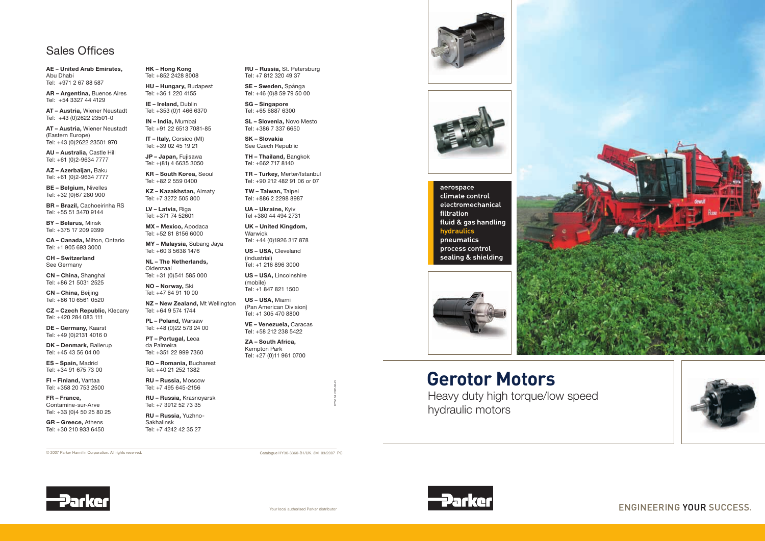## **Sales Offices**

AE - United Arab Emirates. Abu Dhabi Tel: +971 2 67 88 587

AR - Argentina, Buenos Aires Tel: +54 3327 44 4129

AT - Austria, Wiener Neustadt Tel: +43 (0) 2622 23501-0

AT - Austria, Wiener Neustadt (Eastern Europe) Tel: +43 (0)2622 23501 970

AU - Australia, Castle Hill Tel: +61 (0)2-9634 7777

AZ - Azerbaijan, Baku Tel: +61 (0)2-9634 7777

BE - Belgium, Nivelles Tel: +32 (0)67 280 900

**BR** - Brazil, Cachoeirinha RS Tel: +55 51 3470 9144

**BY-Belarus, Minsk** Tel: +375 17 209 9399

CA - Canada, Milton, Ontario Tel: +1 905 693 3000

**CH-Switzerland** See Germany

CN - China, Shanghai Tel: +86 21 5031 2525

CN - China, Beijing Tel: +86 10 6561 0520

CZ - Czech Republic, Klecany Tel: +420 284 083 111

DE - Germany, Kaarst Tel: +49 (0)2131 4016 0

DK - Denmark, Ballerup Tel: +45 43 56 04 00

ES-Spain, Madrid Tel: +34 91 675 73 00

FI - Finland, Vantaa Tel: +358 20 753 2500

FR - France, Contamine-sur-Arve Tel: +33 (0)4 50 25 80 25

GR - Greece, Athens Tel: +30 210 933 6450 **HK-Hong Kong** Tel: +852 2428 8008

HU - Hungary, Budapest Tel: +36 1 220 4155

IE - Ireland, Dublin Tel: +353 (0)1 466 6370

IN - India, Mumbai Tel: +91 22 6513 7081-85

IT - Italy, Corsico (MI) Tel: +39 02 45 19 21

JP - Japan, Fujisawa Tel: +(81) 4 6635 3050

KR - South Korea, Seoul Tel: +82 2 559 0400

KZ - Kazakhstan, Almaty Tel: +7 3272 505 800

LV - Latvia, Riga Tel: +371 74 52601

MX - Mexico, Apodaca Tel: +52 81 8156 6000

MY - Malaysia, Subang Jaya Tel: +60 3 5638 1476

NL - The Netherlands. Oldenzaal Tel: +31 (0)541 585 000

NO - Norway, Ski Tel: +47 64 91 10 00

NZ-New Zealand, Mt Wellington Tel: +64 9 574 1744

PL - Poland, Warsaw Tel: +48 (0)22 573 24 00

PT-Portugal, Leca da Palmeira Tel: +351 22 999 7360

**RO - Romania, Bucharest** Tel: +40 21 252 1382

RU - Russia, Moscow Tel: +7 495 645-2156

RU - Russia, Krasnoyarsk Tel: +7 3912 52 73 35

RU - Russia, Yuzhno-Sakhalinsk Tel: +7 4242 42 35 27

RU - Russia, St. Petersburg Tel: +7 812 320 49 37

SE-Sweden, Spånga Tel: +46 (0) 8 59 79 50 00

**SG-Singapore** Tel: +65 6887 6300

SL - Slovenia, Novo Mesto Tel: +386 7 337 6650

SK - Slovakia See Czech Republic

TH - Thailand, Bangkok Tel: +662 717 8140

TR - Turkey, Merter/Istanbul Tel: +90 212 482 91 06 or 07

TW - Taiwan, Taipei Tel: +886 2 2298 8987

UA - Ukraine, Kyiv Tel +380 44 494 2731

**UK-United Kingdom,** Warwick

Tel: +44 (0)1926 317 878 US-USA, Cleveland

(industrial) Tel: +1 216 896 3000

US - USA, Lincolnshire (mobile) Tel: +1 847 821 1500

US-USA, Miami (Pan American Division) Tel: +1 305 470 8800

VE - Venezuela, Caracas Tel: +58 212 238 5422

ZA - South Africa. Kempton Park Tel: +27 (0)11 961 0700





## aerospace climate control electromechanical filtration fluid & gas handling hydraulics pneumatics process control sealing & shielding



## **Gerotor Motors**

Heavy duty high torque/low speed hydraulic motors

© 2007 Parker Hannifin Corporation. All rights reserved.

Catalogue HY30-3360-B1/UK, 3M 09/2007 PC









**ENGINEERING YOUR SUCCESS.**